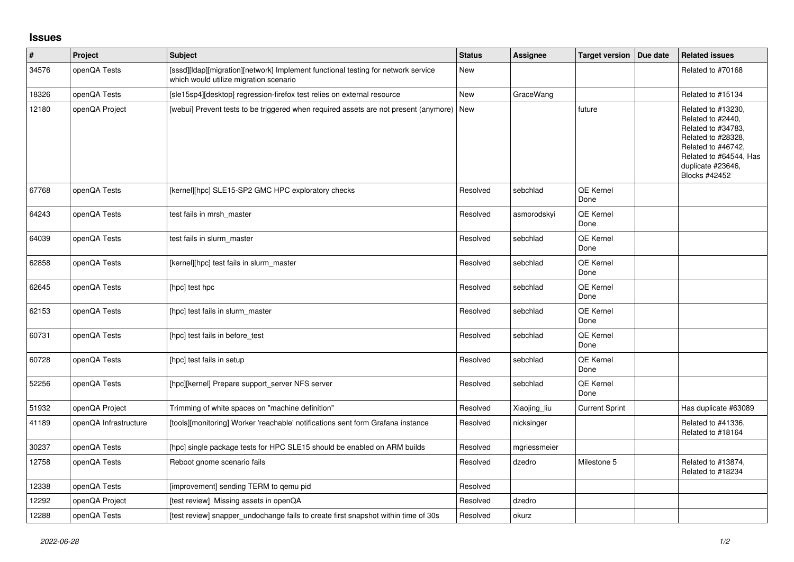## **Issues**

| $\vert$ # | Project               | <b>Subject</b>                                                                                                              | <b>Status</b> | <b>Assignee</b> | <b>Target version</b>    | Due date | <b>Related issues</b>                                                                                                                                                     |
|-----------|-----------------------|-----------------------------------------------------------------------------------------------------------------------------|---------------|-----------------|--------------------------|----------|---------------------------------------------------------------------------------------------------------------------------------------------------------------------------|
| 34576     | openQA Tests          | [sssd][Idap][migration][network] Implement functional testing for network service<br>which would utilize migration scenario | New           |                 |                          |          | Related to #70168                                                                                                                                                         |
| 18326     | openQA Tests          | [sle15sp4][desktop] regression-firefox test relies on external resource                                                     | <b>New</b>    | GraceWang       |                          |          | Related to #15134                                                                                                                                                         |
| 12180     | openQA Project        | [webui] Prevent tests to be triggered when required assets are not present (anymore) New                                    |               |                 | future                   |          | Related to #13230,<br>Related to #2440,<br>Related to #34783,<br>Related to #28328,<br>Related to #46742,<br>Related to #64544, Has<br>duplicate #23646,<br>Blocks #42452 |
| 67768     | openQA Tests          | [kernel][hpc] SLE15-SP2 GMC HPC exploratory checks                                                                          | Resolved      | sebchlad        | QE Kernel<br>Done        |          |                                                                                                                                                                           |
| 64243     | openQA Tests          | test fails in mrsh master                                                                                                   | Resolved      | asmorodskyi     | <b>QE Kernel</b><br>Done |          |                                                                                                                                                                           |
| 64039     | openQA Tests          | test fails in slurm master                                                                                                  | Resolved      | sebchlad        | <b>QE Kernel</b><br>Done |          |                                                                                                                                                                           |
| 62858     | openQA Tests          | [kernel][hpc] test fails in slurm_master                                                                                    | Resolved      | sebchlad        | QE Kernel<br>Done        |          |                                                                                                                                                                           |
| 62645     | openQA Tests          | [hpc] test hpc                                                                                                              | Resolved      | sebchlad        | QE Kernel<br>Done        |          |                                                                                                                                                                           |
| 62153     | openQA Tests          | [hpc] test fails in slurm master                                                                                            | Resolved      | sebchlad        | QE Kernel<br>Done        |          |                                                                                                                                                                           |
| 60731     | openQA Tests          | [hpc] test fails in before test                                                                                             | Resolved      | sebchlad        | QE Kernel<br>Done        |          |                                                                                                                                                                           |
| 60728     | openQA Tests          | [hpc] test fails in setup                                                                                                   | Resolved      | sebchlad        | QE Kernel<br>Done        |          |                                                                                                                                                                           |
| 52256     | openQA Tests          | [hpc][kernel] Prepare support_server NFS server                                                                             | Resolved      | sebchlad        | <b>QE Kernel</b><br>Done |          |                                                                                                                                                                           |
| 51932     | openQA Project        | Trimming of white spaces on "machine definition"                                                                            | Resolved      | Xiaojing_liu    | <b>Current Sprint</b>    |          | Has duplicate #63089                                                                                                                                                      |
| 41189     | openQA Infrastructure | [tools][monitoring] Worker 'reachable' notifications sent form Grafana instance                                             | Resolved      | nicksinger      |                          |          | Related to #41336,<br>Related to #18164                                                                                                                                   |
| 30237     | openQA Tests          | [hpc] single package tests for HPC SLE15 should be enabled on ARM builds                                                    | Resolved      | mgriessmeier    |                          |          |                                                                                                                                                                           |
| 12758     | openQA Tests          | Reboot gnome scenario fails                                                                                                 | Resolved      | dzedro          | Milestone 5              |          | Related to #13874,<br>Related to #18234                                                                                                                                   |
| 12338     | openQA Tests          | [improvement] sending TERM to gemu pid                                                                                      | Resolved      |                 |                          |          |                                                                                                                                                                           |
| 12292     | openQA Project        | [test review] Missing assets in openQA                                                                                      | Resolved      | dzedro          |                          |          |                                                                                                                                                                           |
| 12288     | openQA Tests          | [test review] snapper_undochange fails to create first snapshot within time of 30s                                          | Resolved      | okurz           |                          |          |                                                                                                                                                                           |